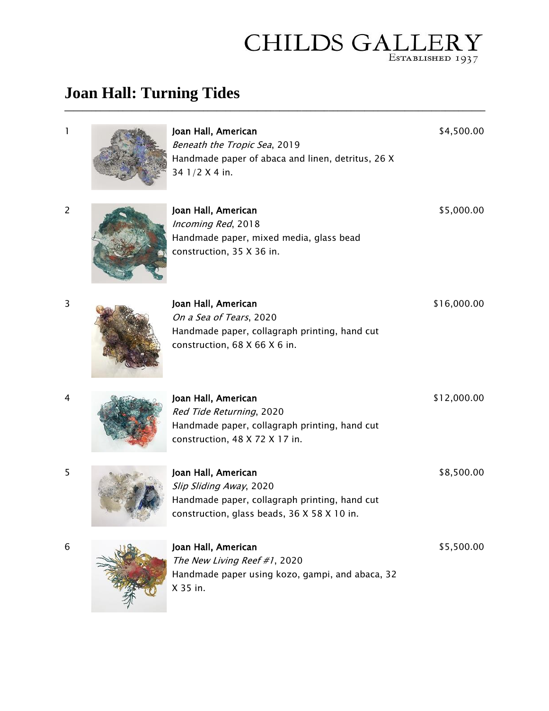## **CHILDS GALLER** ESTABLISHED 1937

## **Joan Hall: Turning Tides**

| 1              | Joan Hall, American<br>Beneath the Tropic Sea, 2019<br>Handmade paper of abaca and linen, detritus, 26 X<br>34 1/2 X 4 in. | \$4,500.00  |
|----------------|----------------------------------------------------------------------------------------------------------------------------|-------------|
| $\overline{c}$ | Joan Hall, American<br>Incoming Red, 2018<br>Handmade paper, mixed media, glass bead<br>construction, 35 X 36 in.          | \$5,000.00  |
| 3              | Joan Hall, American                                                                                                        | \$16,000.00 |

**\_\_\_\_\_\_\_\_\_\_\_\_\_\_\_\_\_\_\_\_\_\_\_\_\_\_\_\_\_\_\_\_\_\_\_\_\_\_\_\_\_\_\_\_\_\_\_\_\_\_\_\_\_\_\_\_\_\_\_\_\_\_\_\_\_\_\_\_\_\_\_\_\_\_\_\_\_\_\_\_\_\_\_\_\_\_\_\_\_\_\_\_\_\_**

| Joan Hall, American                           | \$16.000.00 |  |
|-----------------------------------------------|-------------|--|
| On a Sea of Tears, 2020                       |             |  |
| Handmade paper, collagraph printing, hand cut |             |  |
| construction, $68$ X $66$ X $6$ in.           |             |  |

\$12,000.00



Red Tide Returning, 2020 Handmade paper, collagraph printing, hand cut construction, 48 X 72 X 17 in.



| Joan Hall, American                           | \$8,500.00 |
|-----------------------------------------------|------------|
| Slip Sliding Away, 2020                       |            |
| Handmade paper, collagraph printing, hand cut |            |
| construction, glass beads, 36 X 58 X 10 in.   |            |
|                                               |            |



The New Living Reef #1, 2020 Handmade paper using kozo, gampi, and abaca, 32 X 35 in. \$5,500.00